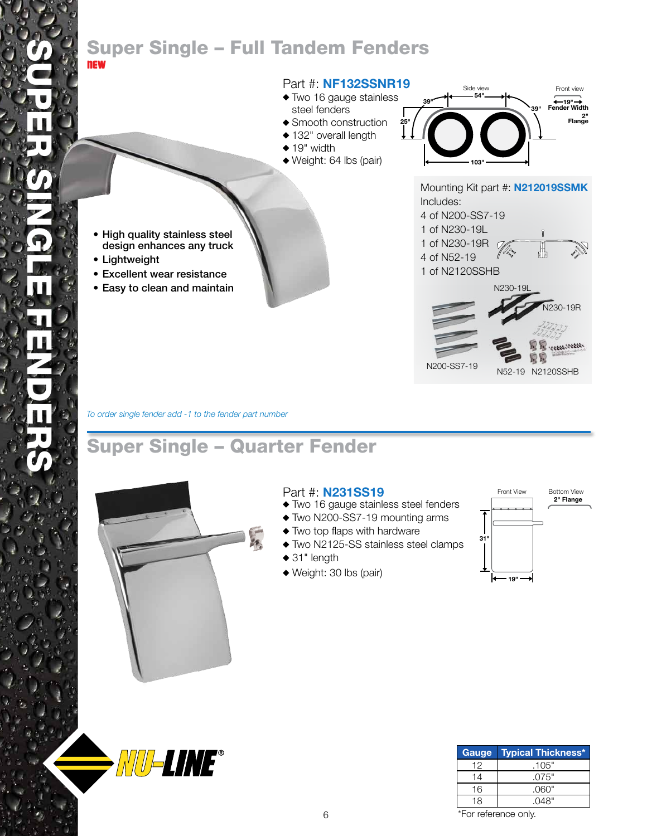### Super Single – Full Tandem Fenders NEW

#### Part #: **NF132SSNR19**

- Two 16 gauge stainless
- steel fenders Smooth construction
- ◆ 132" overall length
- $\triangle$  19" width
- Weight: 64 lbs (pair)



- High quality stainless steel design enhances any truck
- • Lightweight
- • Excellent wear resistance
- • Easy to clean and maintain



*To order single fender add -1 to the fender part number*

# Super Single – Quarter Fender



**NU-LINE®** 

### Part #: **N231SS19**

- Two 16 gauge stainless steel fenders
- Two N200-SS7-19 mounting arms
- Two top flaps with hardware
- Two N2125-SS stainless steel clamps
- ◆ 31" length
- Weight: 30 lbs (pair)



| Gauge | <b>Typical Thickness*</b> |
|-------|---------------------------|
| 12    | .105"                     |
| 14    | .075"                     |
| 16    | .060"                     |
| 18    | .048"                     |

\*For reference only.